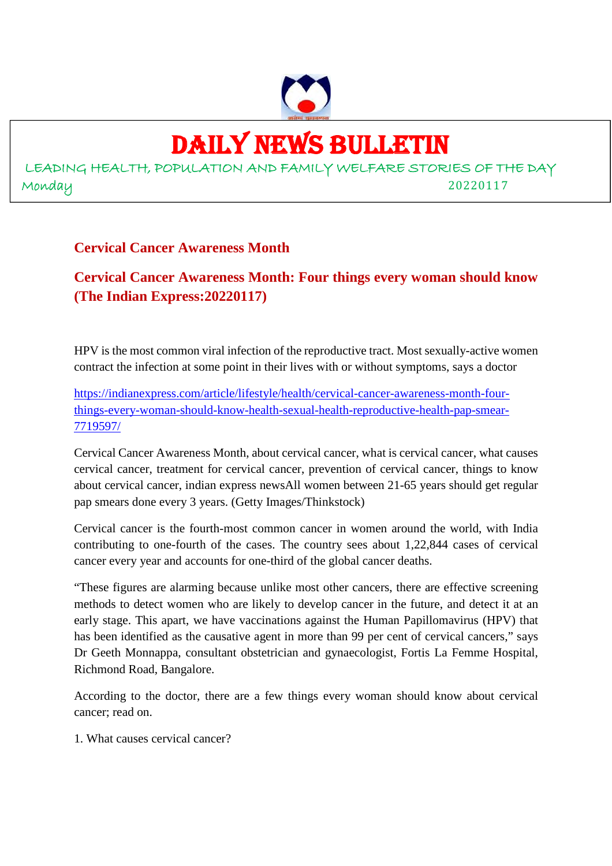

## DAILY NEWS BULLETIN

LEADING HEALTH, POPULATION AND FAMILY WELFARE STORIES OF THE DAY Monday 20220117

#### **Cervical Cancer Awareness Month**

#### **Cervical Cancer Awareness Month: Four things every woman should know (The Indian Express:20220117)**

HPV is the most common viral infection of the reproductive tract. Most sexually-active women contract the infection at some point in their lives with or without symptoms, says a doctor

https://indianexpress.com/article/lifestyle/health/cervical-cancer-awareness-month-fourthings-every-woman-should-know-health-sexual-health-reproductive-health-pap-smear-7719597/

Cervical Cancer Awareness Month, about cervical cancer, what is cervical cancer, what causes cervical cancer, treatment for cervical cancer, prevention of cervical cancer, things to know about cervical cancer, indian express newsAll women between 21-65 years should get regular pap smears done every 3 years. (Getty Images/Thinkstock)

Cervical cancer is the fourth-most common cancer in women around the world, with India contributing to one-fourth of the cases. The country sees about 1,22,844 cases of cervical cancer every year and accounts for one-third of the global cancer deaths.

"These figures are alarming because unlike most other cancers, there are effective screening methods to detect women who are likely to develop cancer in the future, and detect it at an early stage. This apart, we have vaccinations against the Human Papillomavirus (HPV) that has been identified as the causative agent in more than 99 per cent of cervical cancers," says Dr Geeth Monnappa, consultant obstetrician and gynaecologist, Fortis La Femme Hospital, Richmond Road, Bangalore.

According to the doctor, there are a few things every woman should know about cervical cancer; read on.

1. What causes cervical cancer?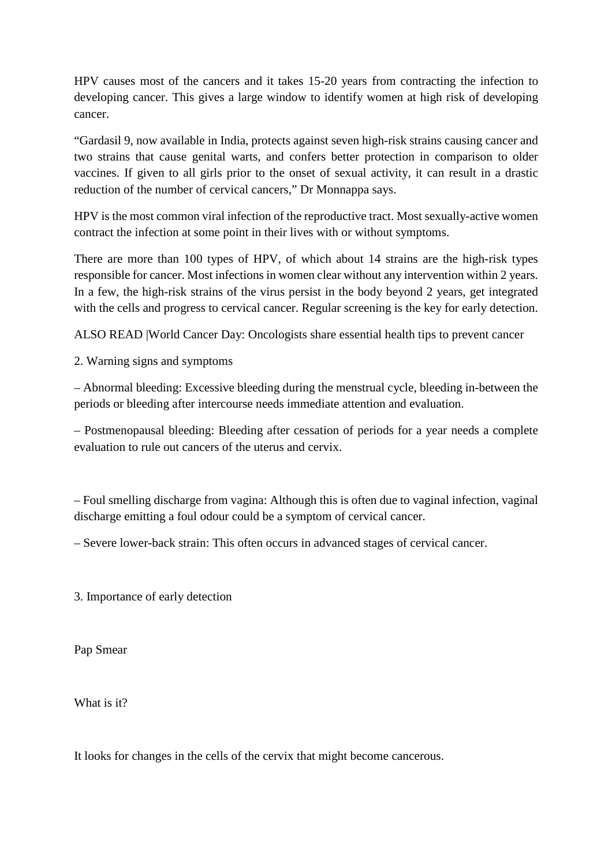HPV causes most of the cancers and it takes 15-20 years from contracting the infection to developing cancer. This gives a large window to identify women at high risk of developing cancer.

"Gardasil 9, now available in India, protects against seven high-risk strains causing cancer and two strains that cause genital warts, and confers better protection in comparison to older vaccines. If given to all girls prior to the onset of sexual activity, it can result in a drastic reduction of the number of cervical cancers," Dr Monnappa says.

HPV is the most common viral infection of the reproductive tract. Most sexually-active women contract the infection at some point in their lives with or without symptoms.

There are more than 100 types of HPV, of which about 14 strains are the high-risk types responsible for cancer. Most infections in women clear without any intervention within 2 years. In a few, the high-risk strains of the virus persist in the body beyond 2 years, get integrated with the cells and progress to cervical cancer. Regular screening is the key for early detection.

ALSO READ |World Cancer Day: Oncologists share essential health tips to prevent cancer

2. Warning signs and symptoms

– Abnormal bleeding: Excessive bleeding during the menstrual cycle, bleeding in-between the periods or bleeding after intercourse needs immediate attention and evaluation.

– Postmenopausal bleeding: Bleeding after cessation of periods for a year needs a complete evaluation to rule out cancers of the uterus and cervix.

– Foul smelling discharge from vagina: Although this is often due to vaginal infection, vaginal discharge emitting a foul odour could be a symptom of cervical cancer.

– Severe lower-back strain: This often occurs in advanced stages of cervical cancer.

3. Importance of early detection

Pap Smear

What is it?

It looks for changes in the cells of the cervix that might become cancerous.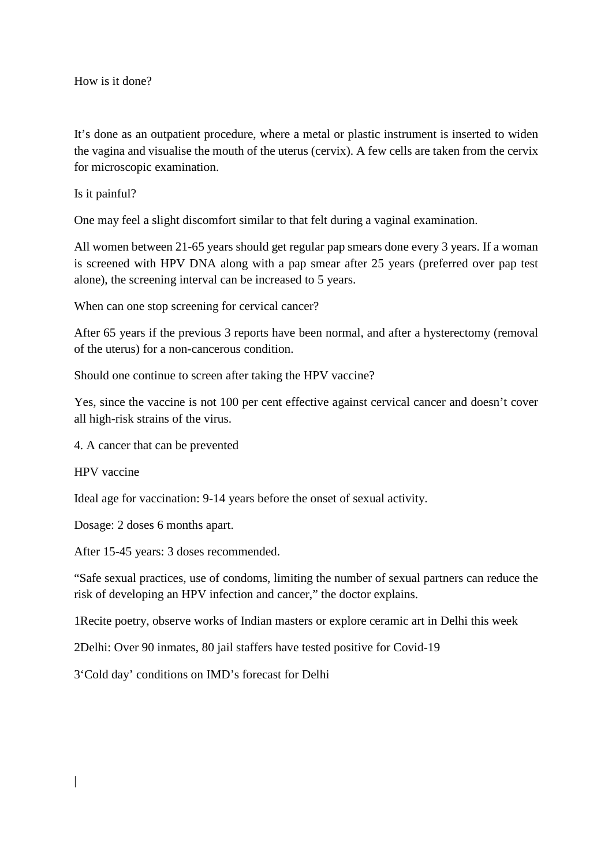How is it done?

It's done as an outpatient procedure, where a metal or plastic instrument is inserted to widen the vagina and visualise the mouth of the uterus (cervix). A few cells are taken from the cervix for microscopic examination.

Is it painful?

One may feel a slight discomfort similar to that felt during a vaginal examination.

All women between 21-65 years should get regular pap smears done every 3 years. If a woman is screened with HPV DNA along with a pap smear after 25 years (preferred over pap test alone), the screening interval can be increased to 5 years.

When can one stop screening for cervical cancer?

After 65 years if the previous 3 reports have been normal, and after a hysterectomy (removal of the uterus) for a non-cancerous condition.

Should one continue to screen after taking the HPV vaccine?

Yes, since the vaccine is not 100 per cent effective against cervical cancer and doesn't cover all high-risk strains of the virus.

4. A cancer that can be prevented

HPV vaccine

Ideal age for vaccination: 9-14 years before the onset of sexual activity.

Dosage: 2 doses 6 months apart.

After 15-45 years: 3 doses recommended.

"Safe sexual practices, use of condoms, limiting the number of sexual partners can reduce the risk of developing an HPV infection and cancer," the doctor explains.

1Recite poetry, observe works of Indian masters or explore ceramic art in Delhi this week

2Delhi: Over 90 inmates, 80 jail staffers have tested positive for Covid-19

3'Cold day' conditions on IMD's forecast for Delhi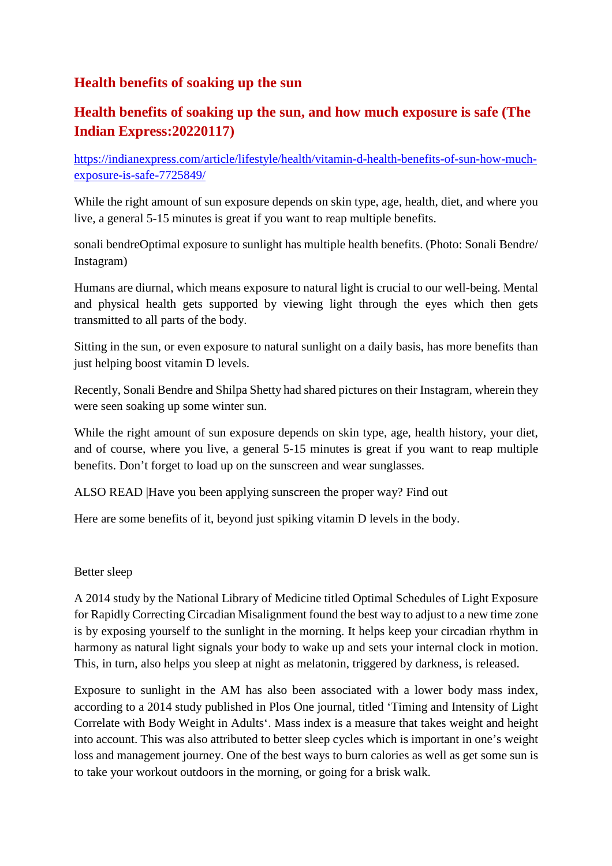#### **Health benefits of soaking up the sun**

#### **Health benefits of soaking up the sun, and how much exposure is safe (The Indian Express:20220117)**

https://indianexpress.com/article/lifestyle/health/vitamin-d-health-benefits-of-sun-how-muchexposure-is-safe-7725849/

While the right amount of sun exposure depends on skin type, age, health, diet, and where you live, a general 5-15 minutes is great if you want to reap multiple benefits.

sonali bendreOptimal exposure to sunlight has multiple health benefits. (Photo: Sonali Bendre/ Instagram)

Humans are diurnal, which means exposure to natural light is crucial to our well-being. Mental and physical health gets supported by viewing light through the eyes which then gets transmitted to all parts of the body.

Sitting in the sun, or even exposure to natural sunlight on a daily basis, has more benefits than just helping boost vitamin D levels.

Recently, Sonali Bendre and Shilpa Shetty had shared pictures on their Instagram, wherein they were seen soaking up some winter sun.

While the right amount of sun exposure depends on skin type, age, health history, your diet, and of course, where you live, a general 5-15 minutes is great if you want to reap multiple benefits. Don't forget to load up on the sunscreen and wear sunglasses.

ALSO READ |Have you been applying sunscreen the proper way? Find out

Here are some benefits of it, beyond just spiking vitamin D levels in the body.

#### Better sleep

A 2014 study by the National Library of Medicine titled Optimal Schedules of Light Exposure for Rapidly Correcting Circadian Misalignment found the best way to adjust to a new time zone is by exposing yourself to the sunlight in the morning. It helps keep your circadian rhythm in harmony as natural light signals your body to wake up and sets your internal clock in motion. This, in turn, also helps you sleep at night as melatonin, triggered by darkness, is released.

Exposure to sunlight in the AM has also been associated with a lower body mass index, according to a 2014 study published in Plos One journal, titled 'Timing and Intensity of Light Correlate with Body Weight in Adults'. Mass index is a measure that takes weight and height into account. This was also attributed to better sleep cycles which is important in one's weight loss and management journey. One of the best ways to burn calories as well as get some sun is to take your workout outdoors in the morning, or going for a brisk walk.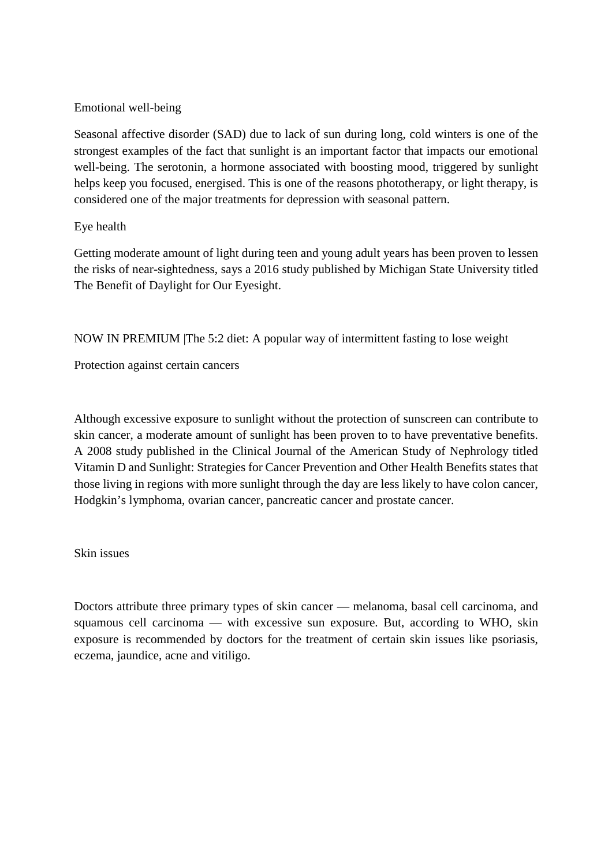#### Emotional well-being

Seasonal affective disorder (SAD) due to lack of sun during long, cold winters is one of the strongest examples of the fact that sunlight is an important factor that impacts our emotional well-being. The serotonin, a hormone associated with boosting mood, triggered by sunlight helps keep you focused, energised. This is one of the reasons phototherapy, or light therapy, is considered one of the major treatments for depression with seasonal pattern.

#### Eye health

Getting moderate amount of light during teen and young adult years has been proven to lessen the risks of near-sightedness, says a 2016 study published by Michigan State University titled The Benefit of Daylight for Our Eyesight.

NOW IN PREMIUM |The 5:2 diet: A popular way of intermittent fasting to lose weight

Protection against certain cancers

Although excessive exposure to sunlight without the protection of sunscreen can contribute to skin cancer, a moderate amount of sunlight has been proven to to have preventative benefits. A 2008 study published in the Clinical Journal of the American Study of Nephrology titled Vitamin D and Sunlight: Strategies for Cancer Prevention and Other Health Benefits states that those living in regions with more sunlight through the day are less likely to have colon cancer, Hodgkin's lymphoma, ovarian cancer, pancreatic cancer and prostate cancer.

#### Skin issues

Doctors attribute three primary types of skin cancer — melanoma, basal cell carcinoma, and squamous cell carcinoma — with excessive sun exposure. But, according to WHO, skin exposure is recommended by doctors for the treatment of certain skin issues like psoriasis, eczema, jaundice, acne and vitiligo.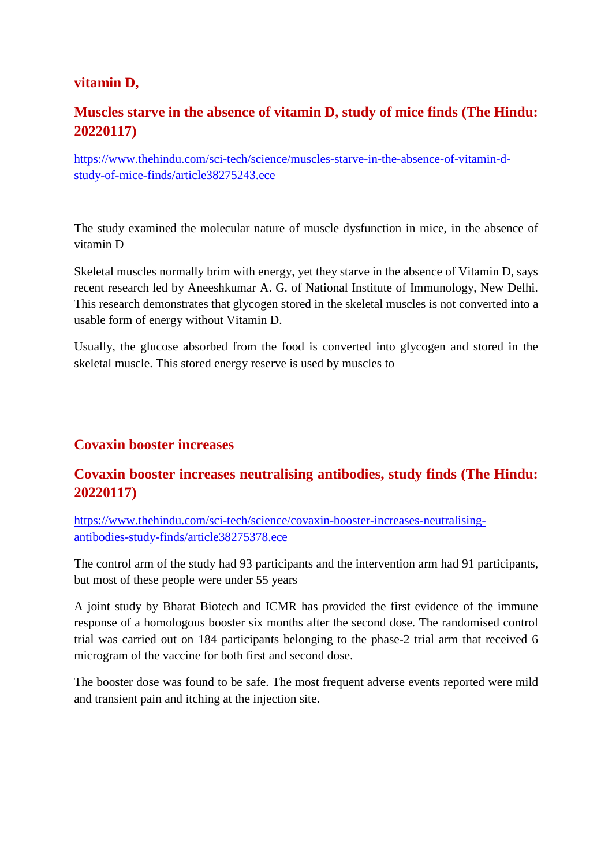#### **vitamin D,**

#### **Muscles starve in the absence of vitamin D, study of mice finds (The Hindu: 20220117)**

https://www.thehindu.com/sci-tech/science/muscles-starve-in-the-absence-of-vitamin-dstudy-of-mice-finds/article38275243.ece

The study examined the molecular nature of muscle dysfunction in mice, in the absence of vitamin D

Skeletal muscles normally brim with energy, yet they starve in the absence of Vitamin D, says recent research led by Aneeshkumar A. G. of National Institute of Immunology, New Delhi. This research demonstrates that glycogen stored in the skeletal muscles is not converted into a usable form of energy without Vitamin D.

Usually, the glucose absorbed from the food is converted into glycogen and stored in the skeletal muscle. This stored energy reserve is used by muscles to

#### **Covaxin booster increases**

#### **Covaxin booster increases neutralising antibodies, study finds (The Hindu: 20220117)**

https://www.thehindu.com/sci-tech/science/covaxin-booster-increases-neutralisingantibodies-study-finds/article38275378.ece

The control arm of the study had 93 participants and the intervention arm had 91 participants, but most of these people were under 55 years

A joint study by Bharat Biotech and ICMR has provided the first evidence of the immune response of a homologous booster six months after the second dose. The randomised control trial was carried out on 184 participants belonging to the phase-2 trial arm that received 6 microgram of the vaccine for both first and second dose.

The booster dose was found to be safe. The most frequent adverse events reported were mild and transient pain and itching at the injection site.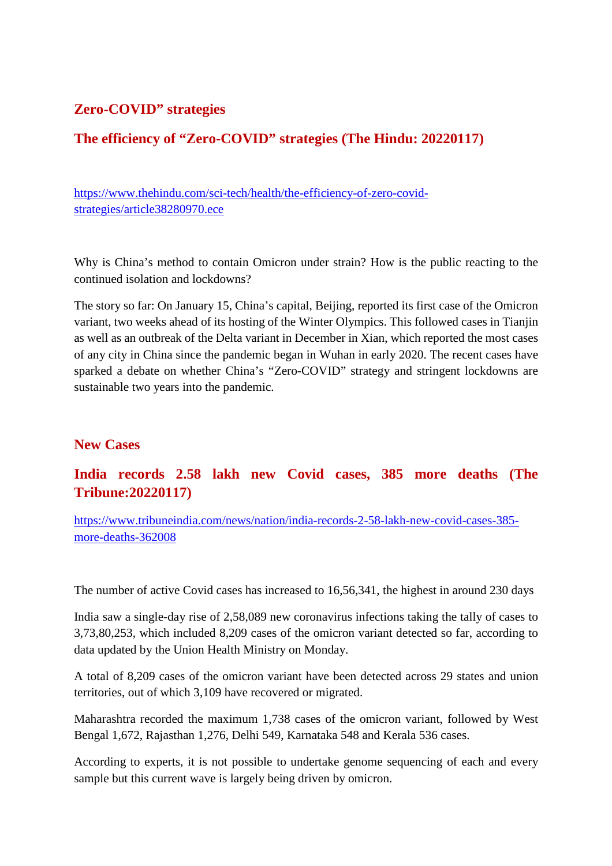#### **Zero-COVID" strategies**

#### **The efficiency of "Zero-COVID" strategies (The Hindu: 20220117)**

https://www.thehindu.com/sci-tech/health/the-efficiency-of-zero-covidstrategies/article38280970.ece

Why is China's method to contain Omicron under strain? How is the public reacting to the continued isolation and lockdowns?

The story so far: On January 15, China's capital, Beijing, reported its first case of the Omicron variant, two weeks ahead of its hosting of the Winter Olympics. This followed cases in Tianjin as well as an outbreak of the Delta variant in December in Xian, which reported the most cases of any city in China since the pandemic began in Wuhan in early 2020. The recent cases have sparked a debate on whether China's "Zero-COVID" strategy and stringent lockdowns are sustainable two years into the pandemic.

#### **New Cases**

#### **India records 2.58 lakh new Covid cases, 385 more deaths (The Tribune:20220117)**

https://www.tribuneindia.com/news/nation/india-records-2-58-lakh-new-covid-cases-385 more-deaths-362008

The number of active Covid cases has increased to 16,56,341, the highest in around 230 days

India saw a single-day rise of 2,58,089 new coronavirus infections taking the tally of cases to 3,73,80,253, which included 8,209 cases of the omicron variant detected so far, according to data updated by the Union Health Ministry on Monday.

A total of 8,209 cases of the omicron variant have been detected across 29 states and union territories, out of which 3,109 have recovered or migrated.

Maharashtra recorded the maximum 1,738 cases of the omicron variant, followed by West Bengal 1,672, Rajasthan 1,276, Delhi 549, Karnataka 548 and Kerala 536 cases.

According to experts, it is not possible to undertake genome sequencing of each and every sample but this current wave is largely being driven by omicron.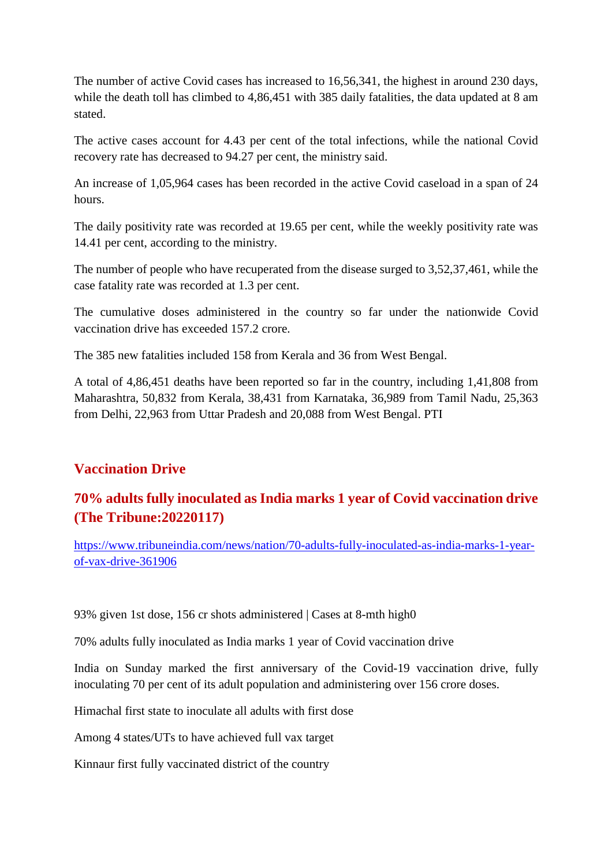The number of active Covid cases has increased to 16,56,341, the highest in around 230 days, while the death toll has climbed to 4,86,451 with 385 daily fatalities, the data updated at 8 am stated.

The active cases account for 4.43 per cent of the total infections, while the national Covid recovery rate has decreased to 94.27 per cent, the ministry said.

An increase of 1,05,964 cases has been recorded in the active Covid caseload in a span of 24 hours.

The daily positivity rate was recorded at 19.65 per cent, while the weekly positivity rate was 14.41 per cent, according to the ministry.

The number of people who have recuperated from the disease surged to 3,52,37,461, while the case fatality rate was recorded at 1.3 per cent.

The cumulative doses administered in the country so far under the nationwide Covid vaccination drive has exceeded 157.2 crore.

The 385 new fatalities included 158 from Kerala and 36 from West Bengal.

A total of 4,86,451 deaths have been reported so far in the country, including 1,41,808 from Maharashtra, 50,832 from Kerala, 38,431 from Karnataka, 36,989 from Tamil Nadu, 25,363 from Delhi, 22,963 from Uttar Pradesh and 20,088 from West Bengal. PTI

#### **Vaccination Drive**

#### **70% adults fully inoculated as India marks 1 year of Covid vaccination drive (The Tribune:20220117)**

https://www.tribuneindia.com/news/nation/70-adults-fully-inoculated-as-india-marks-1-yearof-vax-drive-361906

93% given 1st dose, 156 cr shots administered | Cases at 8-mth high0

70% adults fully inoculated as India marks 1 year of Covid vaccination drive

India on Sunday marked the first anniversary of the Covid-19 vaccination drive, fully inoculating 70 per cent of its adult population and administering over 156 crore doses.

Himachal first state to inoculate all adults with first dose

Among 4 states/UTs to have achieved full vax target

Kinnaur first fully vaccinated district of the country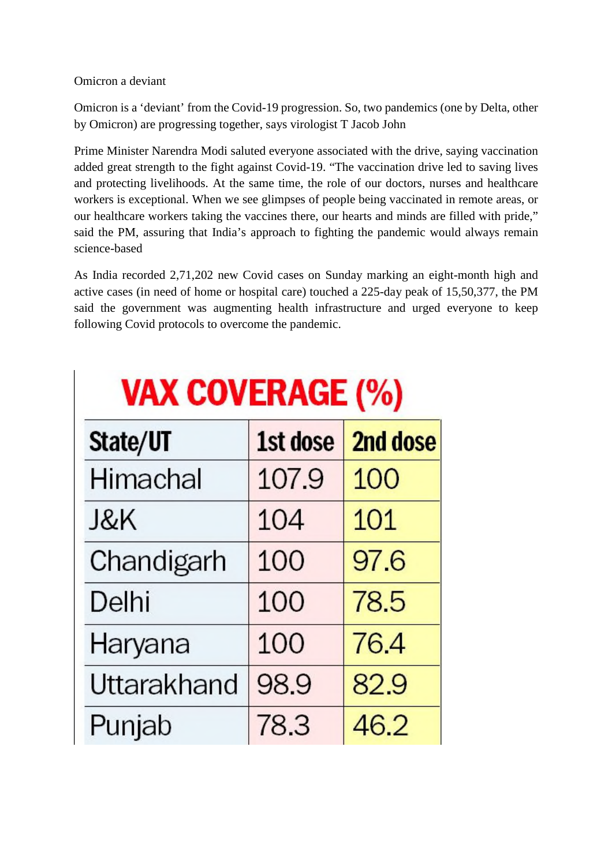#### Omicron a deviant

Omicron is a 'deviant' from the Covid-19 progression. So, two pandemics (one by Delta, other by Omicron) are progressing together, says virologist T Jacob John

Prime Minister Narendra Modi saluted everyone associated with the drive, saying vaccination added great strength to the fight against Covid-19. "The vaccination drive led to saving lives and protecting livelihoods. At the same time, the role of our doctors, nurses and healthcare workers is exceptional. When we see glimpses of people being vaccinated in remote areas, or our healthcare workers taking the vaccines there, our hearts and minds are filled with pride," said the PM, assuring that India's approach to fighting the pandemic would always remain science-based

As India recorded 2,71,202 new Covid cases on Sunday marking an eight-month high and active cases (in need of home or hospital care) touched a 225-day peak of 15,50,377, the PM said the government was augmenting health infrastructure and urged everyone to keep following Covid protocols to overcome the pandemic.

| State/UT       | 1st dose | 2nd dose |
|----------------|----------|----------|
| Himachal       | 107.9    | 100      |
| <b>J&amp;K</b> | 104      | 101      |
| Chandigarh     | 100      | 97.6     |
| Delhi          | 100      | 78.5     |
| Haryana        | 100      | 76.4     |
| Uttarakhand    | 98.9     | 82.9     |
| Punjab         | 78.3     | 46.2     |

# **VAX COVERAGE (%)**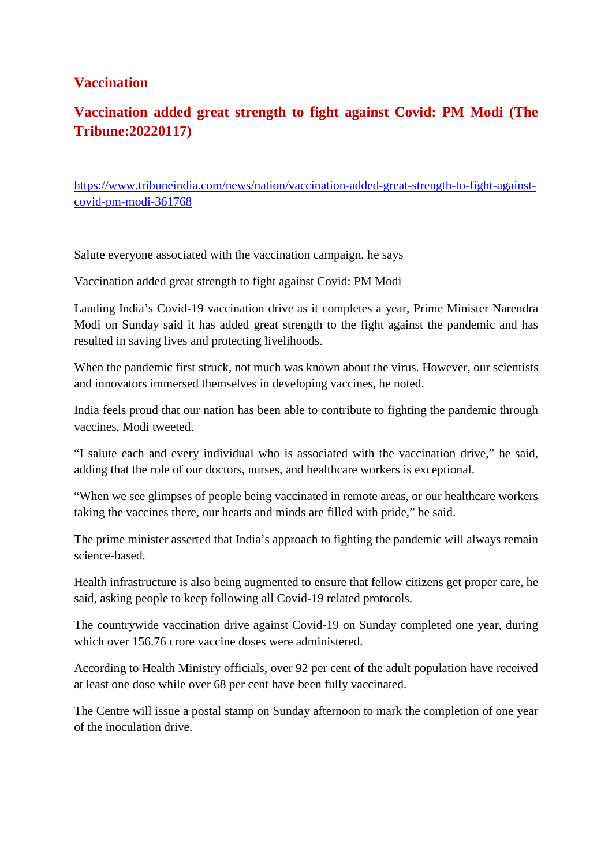#### **Vaccination**

#### **Vaccination added great strength to fight against Covid: PM Modi (The Tribune:20220117)**

https://www.tribuneindia.com/news/nation/vaccination-added-great-strength-to-fight-againstcovid-pm-modi-361768

Salute everyone associated with the vaccination campaign, he says

Vaccination added great strength to fight against Covid: PM Modi

Lauding India's Covid-19 vaccination drive as it completes a year, Prime Minister Narendra Modi on Sunday said it has added great strength to the fight against the pandemic and has resulted in saving lives and protecting livelihoods.

When the pandemic first struck, not much was known about the virus. However, our scientists and innovators immersed themselves in developing vaccines, he noted.

India feels proud that our nation has been able to contribute to fighting the pandemic through vaccines, Modi tweeted.

"I salute each and every individual who is associated with the vaccination drive," he said, adding that the role of our doctors, nurses, and healthcare workers is exceptional.

"When we see glimpses of people being vaccinated in remote areas, or our healthcare workers taking the vaccines there, our hearts and minds are filled with pride," he said.

The prime minister asserted that India's approach to fighting the pandemic will always remain science-based.

Health infrastructure is also being augmented to ensure that fellow citizens get proper care, he said, asking people to keep following all Covid-19 related protocols.

The countrywide vaccination drive against Covid-19 on Sunday completed one year, during which over 156.76 crore vaccine doses were administered.

According to Health Ministry officials, over 92 per cent of the adult population have received at least one dose while over 68 per cent have been fully vaccinated.

The Centre will issue a postal stamp on Sunday afternoon to mark the completion of one year of the inoculation drive.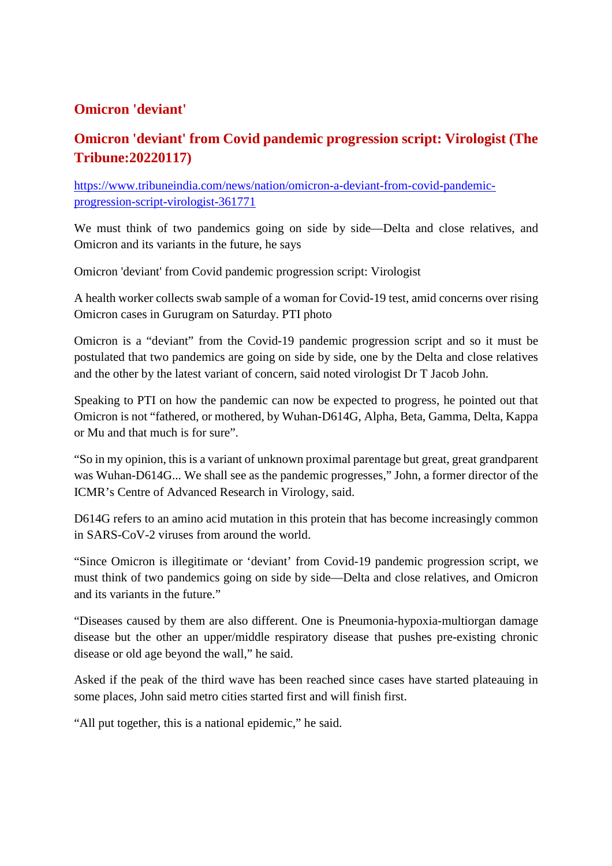#### **Omicron 'deviant'**

#### **Omicron 'deviant' from Covid pandemic progression script: Virologist (The Tribune:20220117)**

https://www.tribuneindia.com/news/nation/omicron-a-deviant-from-covid-pandemicprogression-script-virologist-361771

We must think of two pandemics going on side by side—Delta and close relatives, and Omicron and its variants in the future, he says

Omicron 'deviant' from Covid pandemic progression script: Virologist

A health worker collects swab sample of a woman for Covid-19 test, amid concerns over rising Omicron cases in Gurugram on Saturday. PTI photo

Omicron is a "deviant" from the Covid-19 pandemic progression script and so it must be postulated that two pandemics are going on side by side, one by the Delta and close relatives and the other by the latest variant of concern, said noted virologist Dr T Jacob John.

Speaking to PTI on how the pandemic can now be expected to progress, he pointed out that Omicron is not "fathered, or mothered, by Wuhan-D614G, Alpha, Beta, Gamma, Delta, Kappa or Mu and that much is for sure".

"So in my opinion, this is a variant of unknown proximal parentage but great, great grandparent was Wuhan-D614G... We shall see as the pandemic progresses," John, a former director of the ICMR's Centre of Advanced Research in Virology, said.

D614G refers to an amino acid mutation in this protein that has become increasingly common in SARS-CoV-2 viruses from around the world.

"Since Omicron is illegitimate or 'deviant' from Covid-19 pandemic progression script, we must think of two pandemics going on side by side—Delta and close relatives, and Omicron and its variants in the future."

"Diseases caused by them are also different. One is Pneumonia-hypoxia-multiorgan damage disease but the other an upper/middle respiratory disease that pushes pre-existing chronic disease or old age beyond the wall," he said.

Asked if the peak of the third wave has been reached since cases have started plateauing in some places, John said metro cities started first and will finish first.

"All put together, this is a national epidemic," he said.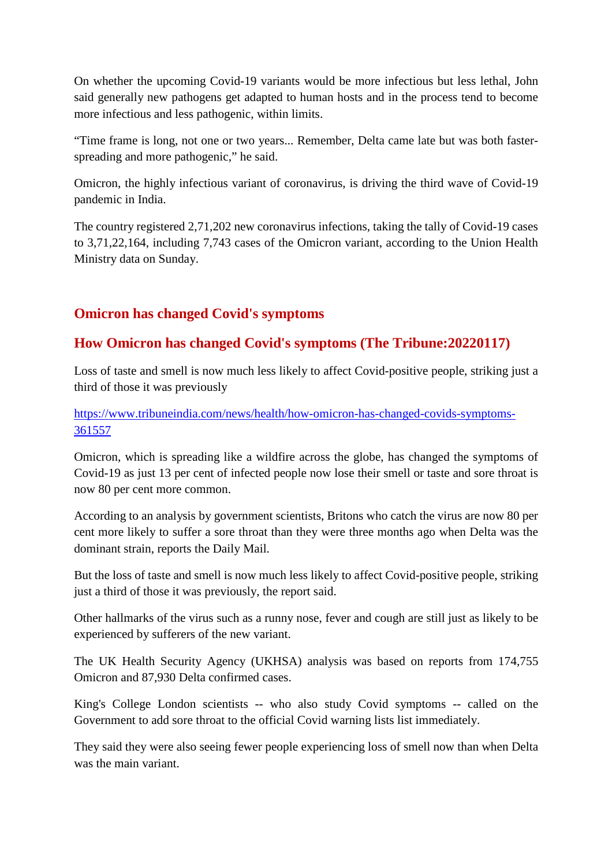On whether the upcoming Covid-19 variants would be more infectious but less lethal, John said generally new pathogens get adapted to human hosts and in the process tend to become more infectious and less pathogenic, within limits.

"Time frame is long, not one or two years... Remember, Delta came late but was both fasterspreading and more pathogenic," he said.

Omicron, the highly infectious variant of coronavirus, is driving the third wave of Covid-19 pandemic in India.

The country registered 2,71,202 new coronavirus infections, taking the tally of Covid-19 cases to 3,71,22,164, including 7,743 cases of the Omicron variant, according to the Union Health Ministry data on Sunday.

#### **Omicron has changed Covid's symptoms**

#### **How Omicron has changed Covid's symptoms (The Tribune:20220117)**

Loss of taste and smell is now much less likely to affect Covid-positive people, striking just a third of those it was previously

https://www.tribuneindia.com/news/health/how-omicron-has-changed-covids-symptoms-361557

Omicron, which is spreading like a wildfire across the globe, has changed the symptoms of Covid-19 as just 13 per cent of infected people now lose their smell or taste and sore throat is now 80 per cent more common.

According to an analysis by government scientists, Britons who catch the virus are now 80 per cent more likely to suffer a sore throat than they were three months ago when Delta was the dominant strain, reports the Daily Mail.

But the loss of taste and smell is now much less likely to affect Covid-positive people, striking just a third of those it was previously, the report said.

Other hallmarks of the virus such as a runny nose, fever and cough are still just as likely to be experienced by sufferers of the new variant.

The UK Health Security Agency (UKHSA) analysis was based on reports from 174,755 Omicron and 87,930 Delta confirmed cases.

King's College London scientists -- who also study Covid symptoms -- called on the Government to add sore throat to the official Covid warning lists list immediately.

They said they were also seeing fewer people experiencing loss of smell now than when Delta was the main variant.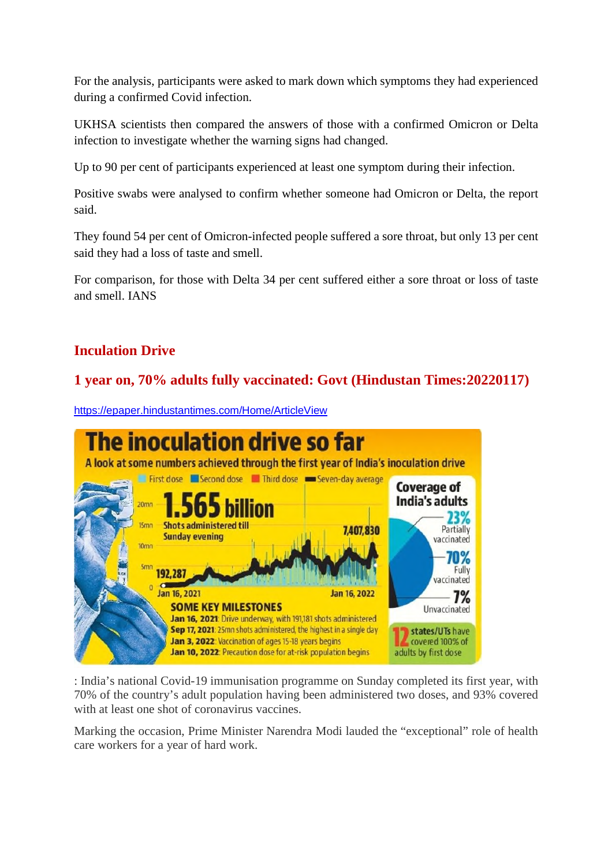For the analysis, participants were asked to mark down which symptoms they had experienced during a confirmed Covid infection.

UKHSA scientists then compared the answers of those with a confirmed Omicron or Delta infection to investigate whether the warning signs had changed.

Up to 90 per cent of participants experienced at least one symptom during their infection.

Positive swabs were analysed to confirm whether someone had Omicron or Delta, the report said.

They found 54 per cent of Omicron-infected people suffered a sore throat, but only 13 per cent said they had a loss of taste and smell.

For comparison, for those with Delta 34 per cent suffered either a sore throat or loss of taste and smell. IANS

#### **Inculation Drive**

#### **1 year on, 70% adults fully vaccinated: Govt (Hindustan Times:20220117)**



https://epaper.hindustantimes.com/Home/ArticleView

: India's national Covid-19 immunisation programme on Sunday completed its first year, with 70% of the country's adult population having been administered two doses, and 93% covered with at least one shot of coronavirus vaccines.

Marking the occasion, Prime Minister Narendra Modi lauded the "exceptional" role of health care workers for a year of hard work.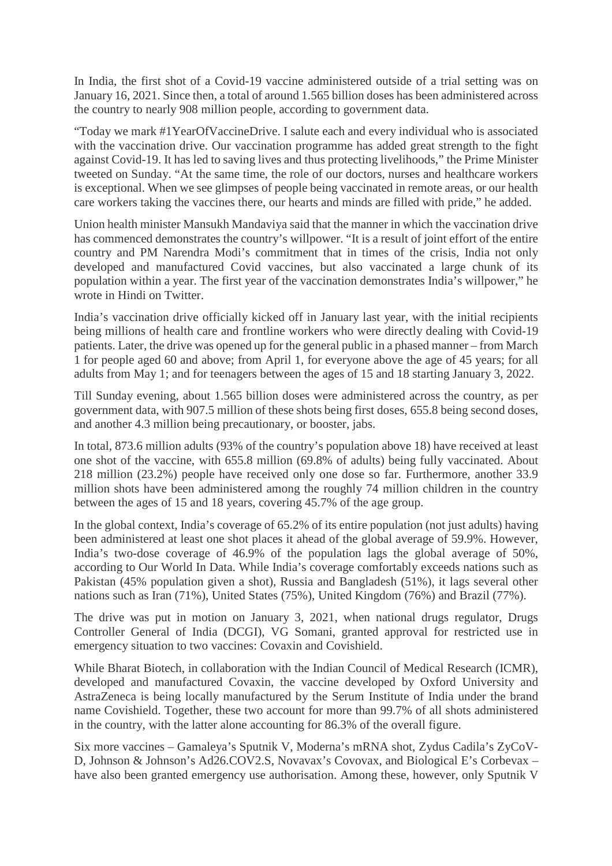In India, the first shot of a Covid-19 vaccine administered outside of a trial setting was on January 16, 2021. Since then, a total of around 1.565 billion doses has been administered across the country to nearly 908 million people, according to government data.

"Today we mark #1YearOfVaccineDrive. I salute each and every individual who is associated with the vaccination drive. Our vaccination programme has added great strength to the fight against Covid-19. It has led to saving lives and thus protecting livelihoods," the Prime Minister tweeted on Sunday. "At the same time, the role of our doctors, nurses and healthcare workers is exceptional. When we see glimpses of people being vaccinated in remote areas, or our health care workers taking the vaccines there, our hearts and minds are filled with pride," he added.

Union health minister Mansukh Mandaviya said that the manner in which the vaccination drive has commenced demonstrates the country's willpower. "It is a result of joint effort of the entire country and PM Narendra Modi's commitment that in times of the crisis, India not only developed and manufactured Covid vaccines, but also vaccinated a large chunk of its population within a year. The first year of the vaccination demonstrates India's willpower," he wrote in Hindi on Twitter.

India's vaccination drive officially kicked off in January last year, with the initial recipients being millions of health care and frontline workers who were directly dealing with Covid-19 patients. Later, the drive was opened up for the general public in a phased manner – from March 1 for people aged 60 and above; from April 1, for everyone above the age of 45 years; for all adults from May 1; and for teenagers between the ages of 15 and 18 starting January 3, 2022.

Till Sunday evening, about 1.565 billion doses were administered across the country, as per government data, with 907.5 million of these shots being first doses, 655.8 being second doses, and another 4.3 million being precautionary, or booster, jabs.

In total, 873.6 million adults (93% of the country's population above 18) have received at least one shot of the vaccine, with 655.8 million (69.8% of adults) being fully vaccinated. About 218 million (23.2%) people have received only one dose so far. Furthermore, another 33.9 million shots have been administered among the roughly 74 million children in the country between the ages of 15 and 18 years, covering 45.7% of the age group.

In the global context, India's coverage of 65.2% of its entire population (not just adults) having been administered at least one shot places it ahead of the global average of 59.9%. However, India's two-dose coverage of 46.9% of the population lags the global average of 50%, according to Our World In Data. While India's coverage comfortably exceeds nations such as Pakistan (45% population given a shot), Russia and Bangladesh (51%), it lags several other nations such as Iran (71%), United States (75%), United Kingdom (76%) and Brazil (77%).

The drive was put in motion on January 3, 2021, when national drugs regulator, Drugs Controller General of India (DCGI), VG Somani, granted approval for restricted use in emergency situation to two vaccines: Covaxin and Covishield.

While Bharat Biotech, in collaboration with the Indian Council of Medical Research (ICMR), developed and manufactured Covaxin, the vaccine developed by Oxford University and AstraZeneca is being locally manufactured by the Serum Institute of India under the brand name Covishield. Together, these two account for more than 99.7% of all shots administered in the country, with the latter alone accounting for 86.3% of the overall figure.

Six more vaccines – Gamaleya's Sputnik V, Moderna's mRNA shot, Zydus Cadila's ZyCoV-D, Johnson & Johnson's Ad26.COV2.S, Novavax's Covovax, and Biological E's Corbevax – have also been granted emergency use authorisation. Among these, however, only Sputnik V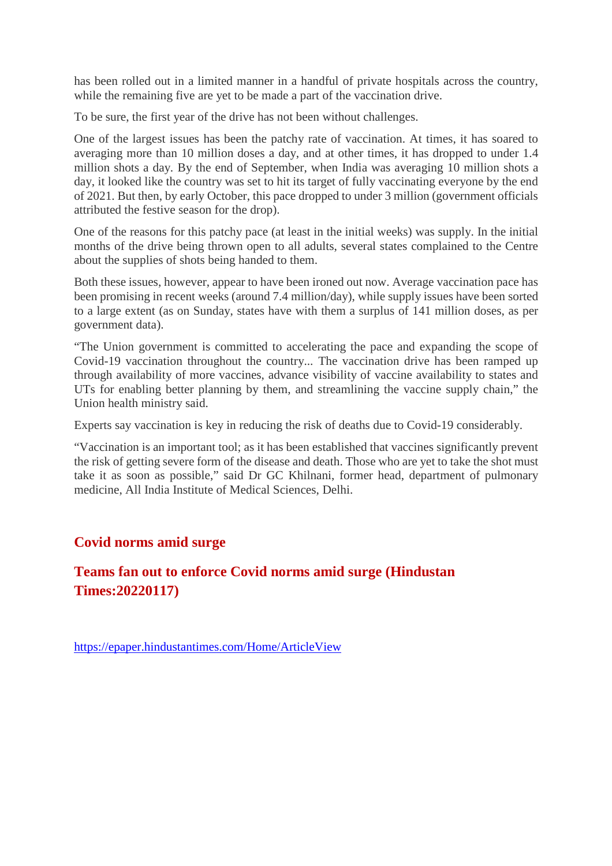has been rolled out in a limited manner in a handful of private hospitals across the country, while the remaining five are yet to be made a part of the vaccination drive.

To be sure, the first year of the drive has not been without challenges.

One of the largest issues has been the patchy rate of vaccination. At times, it has soared to averaging more than 10 million doses a day, and at other times, it has dropped to under 1.4 million shots a day. By the end of September, when India was averaging 10 million shots a day, it looked like the country was set to hit its target of fully vaccinating everyone by the end of 2021. But then, by early October, this pace dropped to under 3 million (government officials attributed the festive season for the drop).

One of the reasons for this patchy pace (at least in the initial weeks) was supply. In the initial months of the drive being thrown open to all adults, several states complained to the Centre about the supplies of shots being handed to them.

Both these issues, however, appear to have been ironed out now. Average vaccination pace has been promising in recent weeks (around 7.4 million/day), while supply issues have been sorted to a large extent (as on Sunday, states have with them a surplus of 141 million doses, as per government data).

"The Union government is committed to accelerating the pace and expanding the scope of Covid-19 vaccination throughout the country... The vaccination drive has been ramped up through availability of more vaccines, advance visibility of vaccine availability to states and UTs for enabling better planning by them, and streamlining the vaccine supply chain," the Union health ministry said.

Experts say vaccination is key in reducing the risk of deaths due to Covid-19 considerably.

"Vaccination is an important tool; as it has been established that vaccines significantly prevent the risk of getting severe form of the disease and death. Those who are yet to take the shot must take it as soon as possible," said Dr GC Khilnani, former head, department of pulmonary medicine, All India Institute of Medical Sciences, Delhi.

#### **Covid norms amid surge**

#### **Teams fan out to enforce Covid norms amid surge (Hindustan Times:20220117)**

https://epaper.hindustantimes.com/Home/ArticleView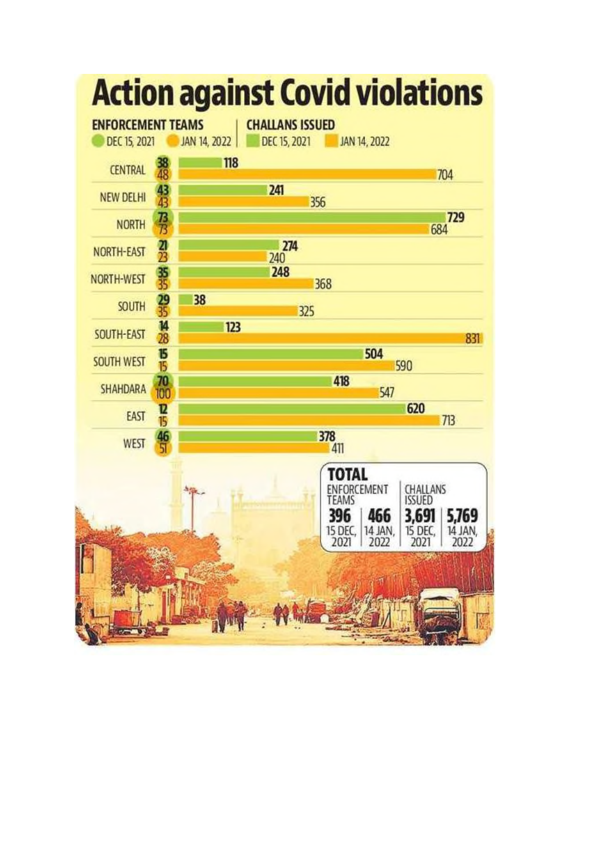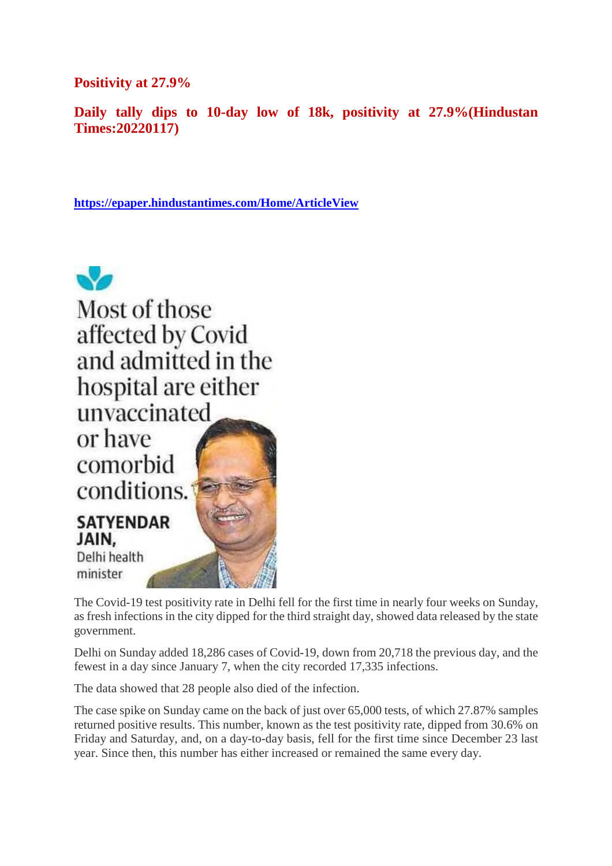**Positivity at 27.9%**

**Daily tally dips to 10-day low of 18k, positivity at 27.9%(Hindustan Times:20220117)**

**https://epaper.hindustantimes.com/Home/ArticleView**



The Covid-19 test positivity rate in Delhi fell for the first time in nearly four weeks on Sunday, as fresh infections in the city dipped for the third straight day, showed data released by the state government.

Delhi on Sunday added 18,286 cases of Covid-19, down from 20,718 the previous day, and the fewest in a day since January 7, when the city recorded 17,335 infections.

The data showed that 28 people also died of the infection.

The case spike on Sunday came on the back of just over 65,000 tests, of which 27.87% samples returned positive results. This number, known as the test positivity rate, dipped from 30.6% on Friday and Saturday, and, on a day-to-day basis, fell for the first time since December 23 last year. Since then, this number has either increased or remained the same every day.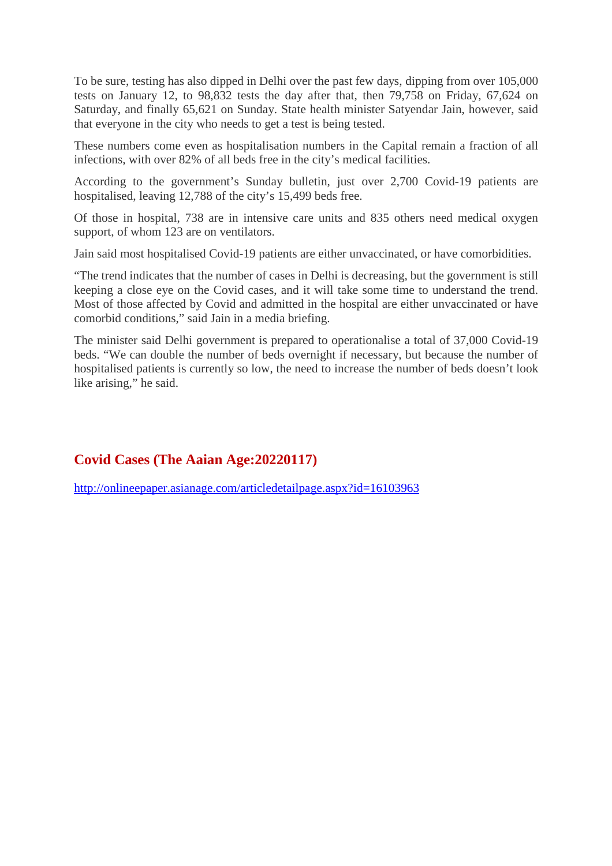To be sure, testing has also dipped in Delhi over the past few days, dipping from over 105,000 tests on January 12, to 98,832 tests the day after that, then 79,758 on Friday, 67,624 on Saturday, and finally 65,621 on Sunday. State health minister Satyendar Jain, however, said that everyone in the city who needs to get a test is being tested.

These numbers come even as hospitalisation numbers in the Capital remain a fraction of all infections, with over 82% of all beds free in the city's medical facilities.

According to the government's Sunday bulletin, just over 2,700 Covid-19 patients are hospitalised, leaving 12,788 of the city's 15,499 beds free.

Of those in hospital, 738 are in intensive care units and 835 others need medical oxygen support, of whom 123 are on ventilators.

Jain said most hospitalised Covid-19 patients are either unvaccinated, or have comorbidities.

"The trend indicates that the number of cases in Delhi is decreasing, but the government is still keeping a close eye on the Covid cases, and it will take some time to understand the trend. Most of those affected by Covid and admitted in the hospital are either unvaccinated or have comorbid conditions," said Jain in a media briefing.

The minister said Delhi government is prepared to operationalise a total of 37,000 Covid-19 beds. "We can double the number of beds overnight if necessary, but because the number of hospitalised patients is currently so low, the need to increase the number of beds doesn't look like arising," he said.

#### **Covid Cases (The Aaian Age:20220117)**

http://onlineepaper.asianage.com/articledetailpage.aspx?id=16103963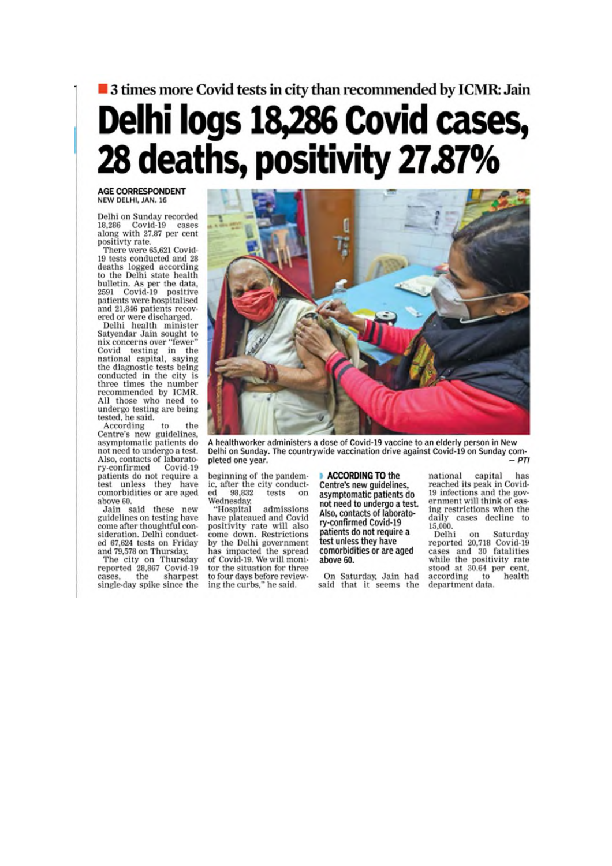## ■ 3 times more Covid tests in city than recommended by ICMR: Jain Delhi logs 18,286 Covid cases, 28 deaths, positivity 27.87%

#### **AGE CORRESPONDENT** NEW DELHI, JAN. 16

Delhi on Sunday recorded 18,286 Covid-19 cases<br>along with 27.87 per cent positivty rate.

There were 65,621 Covid-19 tests conducted and 28 deaths logged according<br>to the Delhi state health bulletin. As per the data,<br>2591 Covid-19 positive patients were hospitalised and 21,846 patients recovered or were discharged.

Delhi health minister Satyendar Jain sought to nix concerns over "fewer" Covid testing in the<br>national capital, saying<br>the diagnostic tests being conducted in the city is three times the number recommended by ICMR. All those who need to undergo testing are being tested, he said.

According  $t<sub>0</sub>$ the Centre's new guidelines,<br>asymptomatic patients do not need to undergo a test. Also, contacts of laboratory-confirmed Covid-19 patients do not require a test unless they have comorbidities or are aged above 60.

Jain said these new<br>guidelines on testing have come after thoughtful consideration. Delhi conducted 67,624 tests on Friday and 79,578 on Thursday.

and 19,000 on Thursday<br>The city on Thursday<br>reported 28,867 Covid-19<br>cases, the sharpest<br>single-day spike since the



A healthworker administers a dose of Covid-19 vaccine to an elderly person in New Delhi on Sunday. The countrywide vaccination drive against Covid-19 on Sunday com- $-DTI$ pleted one year.

beginning of the pandemic, after the city conducted 98,832 tests on Wednesday.

admissions "Hospital have plateaued and Covid positivity rate will also<br>come down. Restrictions by the Delhi government has impacted the spread of Covid-19. We will monitor the situation for three to four days before reviewing the curbs," he said.

ACCORDING TO the Centre's new quidelines, asymptomatic patients do not need to undergo a test. Also, contacts of laboratory-confirmed Covid-19 patients do not require a test unless they have comorbidities or are aged above 60.

On Saturday, Jain had said that it seems the national capital has reached its peak in Covid-19 infections and the government will think of easing restrictions when the daily cases decline to 15,000.

Delhi on Saturday<br>reported 20,718 Covid-19 cases and 30 fatalities while the positivity rate stood at 30.64 per cent, according to health department data.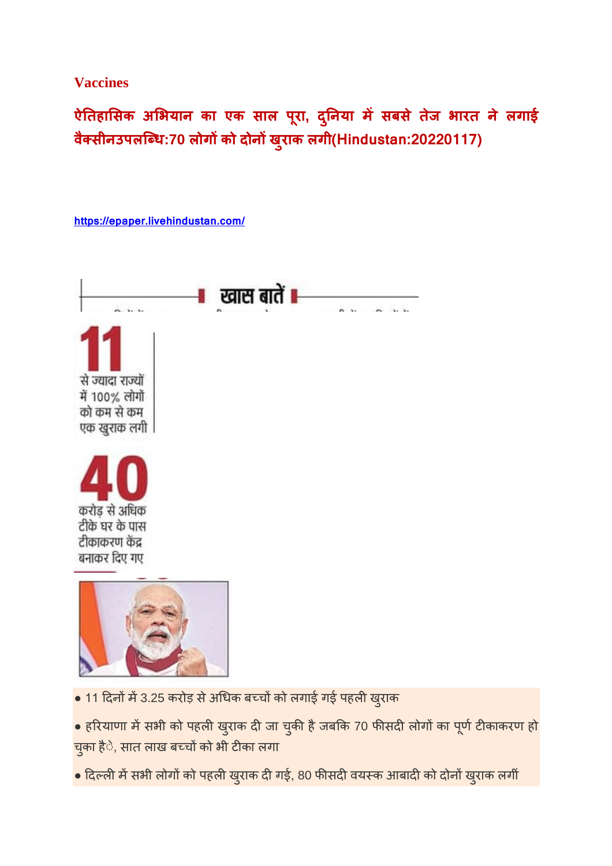#### **Vaccines**

**ऐतहासक अभयान का एक साल परू ा, द ु नया मसबसे तजे भारत ने लगाई वै सीनउपलिध:70 लोगको दोनख ुराक लगी(Hindustan:20220117)**



 $\bullet$  दिल्ली में सभी लोगों को पहली खुराक दी गई, 80 फीसदी वयस्क आबादी को दोनों खुराक लगीं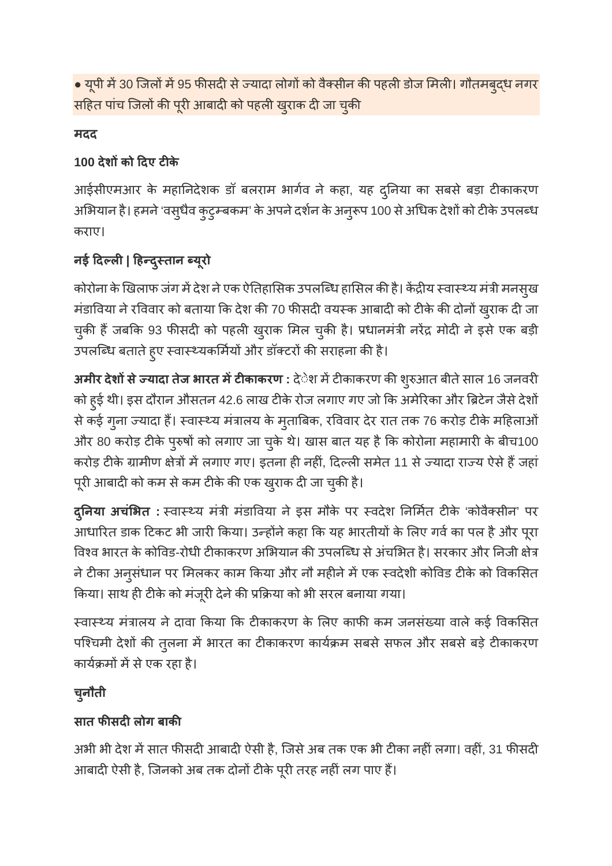• यूपी में 30 जिलों में 95 फीसदी से ज्यादा लोगों को वैक्सीन की पहली डोज मिली। गौतमबुद्ध नगर सहित पांच जिलों की पूरी आबादी को पहली खुराक दी जा चुकी

#### **मदद**

#### **100 देशको दए टके**

आईसीएमआर के महानिदेशक डॉ बलराम भार्गव ने कहा, यह दुनिया का सबसे बड़ा टीकाकरण अभियान है। हमने 'वसुधैव कुटुम्बकम' के अपने दर्शन के अनुरूप 100 से अधिक देशों को टीके उपलब्ध कराए।

#### **नई दल| हदुतान यूरो**

कोरोना के खिलाफ जंग में देश ने एक ऐतिहासिक उपलब्धि हासिल की है। केंद्रीय स्वास्थ्य मंत्री मनसुख मंडाविया ने रविवार को बताया कि देश की 70 फीसदी वयस्क आबादी को टीके की दोनों ख़्राक दी जा चुकी हैं जबकि 93 फीसदी को पहली खुराक मिल चुकी है। प्रधानमंत्री नरेंद्र मोदी ने इसे एक बड़ी उपलब्धि बताते हुए स्वास्थ्यकर्मियों और डॉक्टरों की सराहना की है।

**अमीर देशों से ज्यादा तेज भारत में टीकाकरण :** देेश में टीकाकरण की शुरुआत बीते साल 16 जनवरी को हुई थी। इस दौरान औसतन 42.6 लाख टीके रोज लगाए गए जो कि अमेरिका और ब्रिटेन जैसे देशों से कई गुना ज्यादा हैं। स्वास्थ्य मंत्रालय के मुताबिक, रविवार देर रात तक 76 करोड़ टीके महिलाओं और 80 करोड़ टीके पुरुषों को लगाए जा चुके थे। खास बात यह है कि कोरोना महामारी के बीच100 करोड़ टीके ग्रामीण क्षेत्रों में लगाए गए। इतना ही नहीं, दिल्ली समेत 11 से ज्यादा राज्य ऐसे हैं जहां पूरी आबादी को कम से कम टीके की एक खुराक दी जा चुकी है।

**दुनया अचंभत :** वाय मंी मंडावया ने इस मौके पर वदेश नमत टके 'कोवैसीन' पर आधारित डाक टिकट भी जारी किया। उन्होंने कहा कि यह भारतीयों के लिए गर्व का पल है और पूरा विश्व भारत के कोविड-रोधी टीकाकरण अभियान की उपलब्धि से अंचभित है। सरकार और निजी क्षेत्र ने टीका अनुसंधान पर मिलकर काम किया और नौ महीने में एक स्वदेशी कोविड टीके को विकसित किया। साथ ही टीके को मंजूरी देने की प्रक्रिया को भी सरल बनाया गया।

स्वास्थ्य मंत्रालय ने दावा किया कि टीकाकरण के लिए काफी कम जनसंख्या वाले कई विकसित पश्चिमी देशों की तुलना में भारत का टीकाकरण कार्यक्रम सबसे सफल और सबसे बड़े टीकाकरण कार्यक्रमों में से एक रहा है।

### **चनु ौती**

#### **सात फसदलोग बाक**

अभी भी देश में सात फीसदी आबादी ऐसी है, जिसे अब तक एक भी टीका नहीं लगा। वहीं, 31 फीसदी आबादी ऐसी है, जिनको अब तक दोनों टीके पूरी तरह नहीं लग पाए हैं।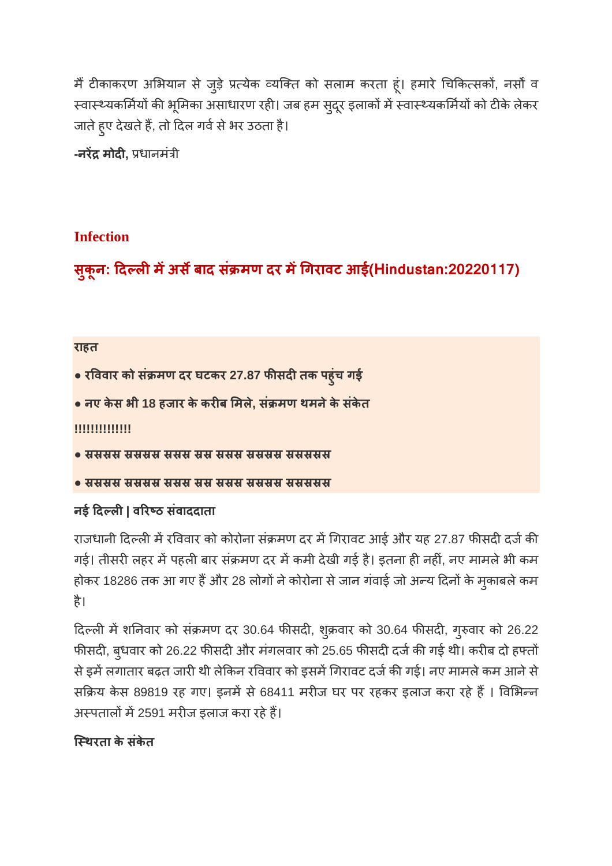मैं टीकाकरण अभियान से जुड़े प्रत्येक व्यक्ति को सलाम करता हूं। हमारे चिकित्सकों, नर्सों व स्वास्थ्यकर्मियों की भूमिका असाधारण रही। जब हम सुदूर इलाकों में स्वास्थ्यकर्मियों को टीके लेकर जाते हुए देखते हैं, तो दिल गर्व से भर उठता है।

**-नरेंद्र मोदी,** प्रधानमंत्री

#### **Infection**

**सक ुू न: दलमअसबाद सं मण दर मगरावट आई(Hindustan:20220117)**

#### **राहत**

- **रववार को सं मण दर घटकर 27.87 फसदतक पहुंच गई**
- **नए केस भी 18 हजार के करब मले, सं मण थमनेके संकेत**

#### **!!!!!!!!!!!!!!**

- संसमस संसमस संसम संस संसम संसमस संसमसम
- समसम समसम समम सम समम समसम समसमम

#### **नई दल| वरठ संवाददाता**

राजधानी दिल्ली में रविवार को कोरोना संक्रमण दर में गिरावट आई और यह 27.87 फीसदी दर्ज की गई। तीसरी लहर में पहली बार संक्रमण दर में कमी देखी गई है। इतना ही नहीं, नए मामले भी कम होकर 18286 तक आ गए हैं और 28 लोगों ने कोरोना से जान गंवाई जो अन्य दिनों के मुकाबले कम है।

दिल्ली में शनिवार को संक्रमण दर 30.64 फीसदी, शुक्रवार को 30.64 फीसदी, गुरुवार को 26.22 फीसदी, बुधवार को 26.22 फीसदी और मंगलवार को 25.65 फीसदी दर्ज की गई थी। करीब दो हफ्तों से इमें लगातार बढ़त जारी थी लेकिन रविवार को इसमें गिरावट दर्ज की गई। नए मामले कम आने से सक्रिय केस 89819 रह गए। इनमें से 68411 मरीज घर पर रहकर इलाज करा रहे हैं । विभिन्न अस्पतालों में 2591 मरीज इलाज करा रहे हैं।

#### **िथरता के संकेत**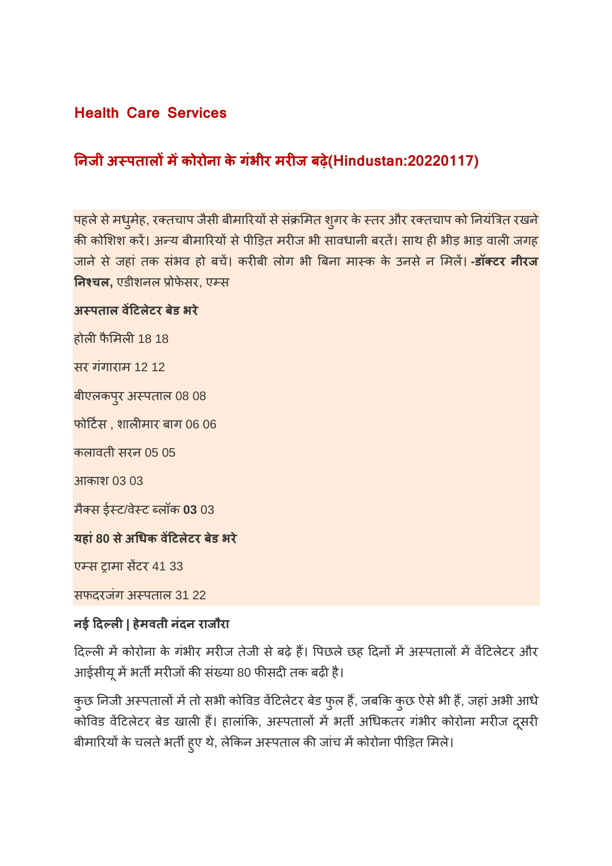#### **Health Care Services**

#### **नजी अपतालमकोरोना केगंभीर मरज बढ़े(Hindustan:20220117)**

पहले से मधुमेह, रक्तचाप जैसी बीमारियों से संक्रमित शुगर के स्तर और रक्तचाप को नियंत्रित रखने की कोशिश करें। अन्य बीमारियों से पीड़ित मरीज भी सावधानी बरतें। साथ ही भीड़ भाड़ वाली जगह जानेसेजहां तक संभव हो बच। करबी लोग भी बना माक के उनसेन मल। **-डॉटर नीरज नचल,** एडीशनल ोफेसर, एस

#### **अपताल वटलेटर बेड भरे**

होली फैमिली 18 18 सर गंगाराम 12 12 बीएलकपुर अपताल 08 08 फोटस , शालमार बाग 06 06 कलावती सरन 05 05 आकाश 03 03 मैस ईट/वेट लॉक **03** 03 **यहां80 सेअधक वटलेटर बेड भरे** एम्स ट्रामा सेंटर 41 33

सफदरजंग अपताल 31 22

#### **नई दल| हेमवती नंदन राजौरा**

दिल्ली में कोरोना के गंभीर मरीज तेजी से बढ़े हैं। पिछले छह दिनों में अस्पतालों में वेंटिलेटर और आईसीयू में भर्ती मरीजों की संख्या 80 फीसदी तक बढ़ी है।

कुछ निजी अस्पतालों में तो सभी कोविड वेंटिलेटर बेड फुल हैं, जबकि कुछ ऐसे भी हैं, जहां अभी आधे कोविड वेंटिलेटर बेड खाली हैं। हालांकि, अस्पतालों में भर्ती अधिकतर गंभीर कोरोना मरीज दूसरी बीमारियों के चलते भर्ती हुए थे, लेकिन अस्पताल की जांच में कोरोना पीड़ित मिले।